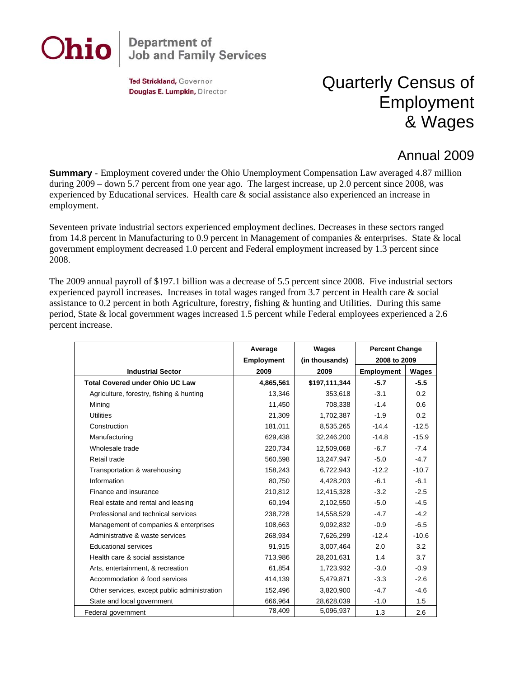

## **Department of<br>Job and Family Services**

Ted Strickland, Governor Douglas E. Lumpkin, Director

## Quarterly Census of Employment & Wages

## Annual 2009

**Summary** - Employment covered under the Ohio Unemployment Compensation Law averaged 4.87 million during 2009 – down 5.7 percent from one year ago. The largest increase, up 2.0 percent since 2008, was experienced by Educational services. Health care & social assistance also experienced an increase in employment.

Seventeen private industrial sectors experienced employment declines. Decreases in these sectors ranged from 14.8 percent in Manufacturing to 0.9 percent in Management of companies & enterprises. State & local government employment decreased 1.0 percent and Federal employment increased by 1.3 percent since 2008.

The 2009 annual payroll of \$197.1 billion was a decrease of 5.5 percent since 2008. Five industrial sectors experienced payroll increases. Increases in total wages ranged from 3.7 percent in Health care & social assistance to 0.2 percent in both Agriculture, forestry, fishing & hunting and Utilities. During this same period, State & local government wages increased 1.5 percent while Federal employees experienced a 2.6 percent increase.

|                                              | Average           | Wages          | <b>Percent Change</b> |         |
|----------------------------------------------|-------------------|----------------|-----------------------|---------|
|                                              | <b>Employment</b> | (in thousands) | 2008 to 2009          |         |
| <b>Industrial Sector</b>                     | 2009              | 2009           | <b>Employment</b>     | Wages   |
| <b>Total Covered under Ohio UC Law</b>       | 4,865,561         | \$197,111,344  | $-5.7$                | $-5.5$  |
| Agriculture, forestry, fishing & hunting     | 13,346            | 353,618        | $-3.1$                | 0.2     |
| Mining                                       | 11,450            | 708,338        | $-1.4$                | 0.6     |
| <b>Utilities</b>                             | 21,309            | 1,702,387      | $-1.9$                | 0.2     |
| Construction                                 | 181,011           | 8,535,265      | $-14.4$               | $-12.5$ |
| Manufacturing                                | 629,438           | 32,246,200     | $-14.8$               | $-15.9$ |
| Wholesale trade                              | 220,734           | 12,509,068     | $-6.7$                | $-7.4$  |
| Retail trade                                 | 560,598           | 13,247,947     | $-5.0$                | $-4.7$  |
| Transportation & warehousing                 | 158,243           | 6,722,943      | $-12.2$               | $-10.7$ |
| Information                                  | 80,750            | 4,428,203      | $-6.1$                | $-6.1$  |
| Finance and insurance                        | 210,812           | 12,415,328     | $-3.2$                | $-2.5$  |
| Real estate and rental and leasing           | 60,194            | 2,102,550      | $-5.0$                | $-4.5$  |
| Professional and technical services          | 238,728           | 14,558,529     | $-4.7$                | $-4.2$  |
| Management of companies & enterprises        | 108,663           | 9,092,832      | $-0.9$                | $-6.5$  |
| Administrative & waste services              | 268,934           | 7,626,299      | $-12.4$               | $-10.6$ |
| <b>Educational services</b>                  | 91.915            | 3,007,464      | 2.0                   | 3.2     |
| Health care & social assistance              | 713.986           | 28,201,631     | 1.4                   | 3.7     |
| Arts, entertainment, & recreation            | 61,854            | 1,723,932      | $-3.0$                | $-0.9$  |
| Accommodation & food services                | 414,139           | 5,479,871      | $-3.3$                | $-2.6$  |
| Other services, except public administration | 152,496           | 3,820,900      | $-4.7$                | $-4.6$  |
| State and local government                   | 666,964           | 28,628,039     | $-1.0$                | 1.5     |
| Federal government                           | 78,409            | 5,096,937      | 1.3                   | 2.6     |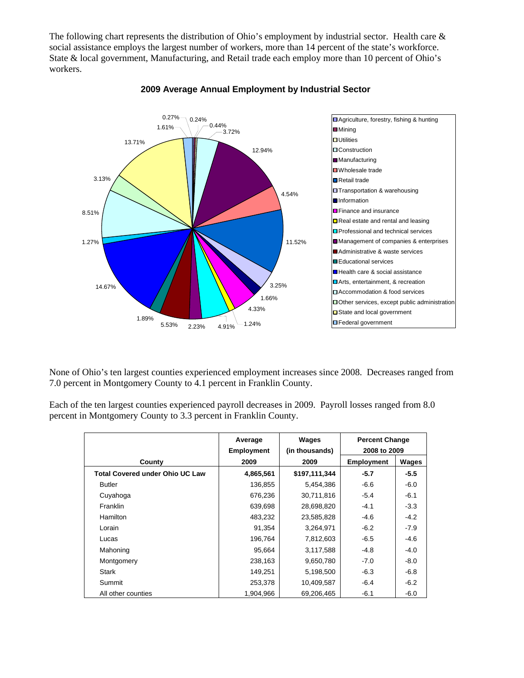The following chart represents the distribution of Ohio's employment by industrial sector. Health care & social assistance employs the largest number of workers, more than 14 percent of the state's workforce. State & local government, Manufacturing, and Retail trade each employ more than 10 percent of Ohio's workers.



## **2009 Average Annual Employment by Industrial Sector**

None of Ohio's ten largest counties experienced employment increases since 2008. Decreases ranged from 7.0 percent in Montgomery County to 4.1 percent in Franklin County.

Each of the ten largest counties experienced payroll decreases in 2009. Payroll losses ranged from 8.0 percent in Montgomery County to 3.3 percent in Franklin County.

|                                        | Average<br><b>Employment</b> | Wages<br>(in thousands) | <b>Percent Change</b><br>2008 to 2009 |        |
|----------------------------------------|------------------------------|-------------------------|---------------------------------------|--------|
| County                                 | 2009                         | 2009                    | <b>Employment</b>                     | Wages  |
| <b>Total Covered under Ohio UC Law</b> | 4,865,561                    | \$197,111,344           | $-5.7$                                | $-5.5$ |
| <b>Butler</b>                          | 136,855                      | 5,454,386               | $-6.6$                                | $-6.0$ |
| Cuyahoga                               | 676,236                      | 30,711,816              | $-5.4$                                | $-6.1$ |
| Franklin                               | 639,698                      | 28,698,820              | $-4.1$                                | $-3.3$ |
| <b>Hamilton</b>                        | 483,232                      | 23,585,828              | $-4.6$                                | $-4.2$ |
| Lorain                                 | 91,354                       | 3,264,971               | $-6.2$                                | $-7.9$ |
| Lucas                                  | 196,764                      | 7,812,603               | $-6.5$                                | $-4.6$ |
| Mahoning                               | 95,664                       | 3,117,588               | $-4.8$                                | $-4.0$ |
| Montgomery                             | 238,163                      | 9,650,780               | $-7.0$                                | $-8.0$ |
| <b>Stark</b>                           | 149,251                      | 5,198,500               | $-6.3$                                | $-6.8$ |
| Summit                                 | 253,378                      | 10,409,587              | $-6.4$                                | $-6.2$ |
| All other counties                     | 1.904.966                    | 69,206,465              | $-6.1$                                | $-6.0$ |